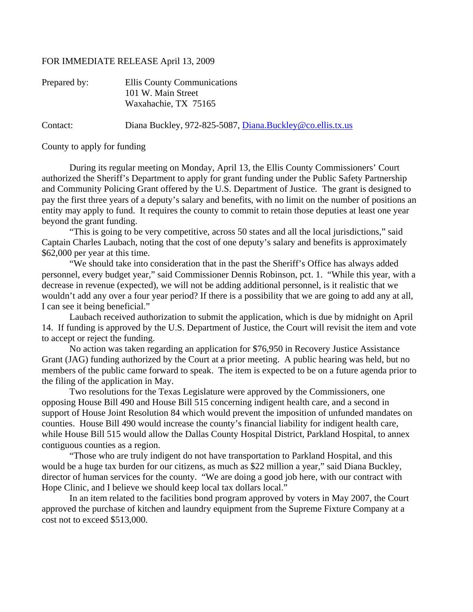## FOR IMMEDIATE RELEASE April 13, 2009

| Prepared by: | Ellis County Communications<br>101 W. Main Street<br>Waxahachie, TX 75165 |
|--------------|---------------------------------------------------------------------------|
| Contact:     | Diana Buckley, 972-825-5087, Diana.Buckley@co.ellis.tx.us                 |

County to apply for funding

 During its regular meeting on Monday, April 13, the Ellis County Commissioners' Court authorized the Sheriff's Department to apply for grant funding under the Public Safety Partnership and Community Policing Grant offered by the U.S. Department of Justice. The grant is designed to pay the first three years of a deputy's salary and benefits, with no limit on the number of positions an entity may apply to fund. It requires the county to commit to retain those deputies at least one year beyond the grant funding.

 "This is going to be very competitive, across 50 states and all the local jurisdictions," said Captain Charles Laubach, noting that the cost of one deputy's salary and benefits is approximately \$62,000 per year at this time.

 "We should take into consideration that in the past the Sheriff's Office has always added personnel, every budget year," said Commissioner Dennis Robinson, pct. 1. "While this year, with a decrease in revenue (expected), we will not be adding additional personnel, is it realistic that we wouldn't add any over a four year period? If there is a possibility that we are going to add any at all, I can see it being beneficial."

 Laubach received authorization to submit the application, which is due by midnight on April 14. If funding is approved by the U.S. Department of Justice, the Court will revisit the item and vote to accept or reject the funding.

 No action was taken regarding an application for \$76,950 in Recovery Justice Assistance Grant (JAG) funding authorized by the Court at a prior meeting. A public hearing was held, but no members of the public came forward to speak. The item is expected to be on a future agenda prior to the filing of the application in May.

 Two resolutions for the Texas Legislature were approved by the Commissioners, one opposing House Bill 490 and House Bill 515 concerning indigent health care, and a second in support of House Joint Resolution 84 which would prevent the imposition of unfunded mandates on counties. House Bill 490 would increase the county's financial liability for indigent health care, while House Bill 515 would allow the Dallas County Hospital District, Parkland Hospital, to annex contiguous counties as a region.

 "Those who are truly indigent do not have transportation to Parkland Hospital, and this would be a huge tax burden for our citizens, as much as \$22 million a year," said Diana Buckley, director of human services for the county. "We are doing a good job here, with our contract with Hope Clinic, and I believe we should keep local tax dollars local."

 In an item related to the facilities bond program approved by voters in May 2007, the Court approved the purchase of kitchen and laundry equipment from the Supreme Fixture Company at a cost not to exceed \$513,000.